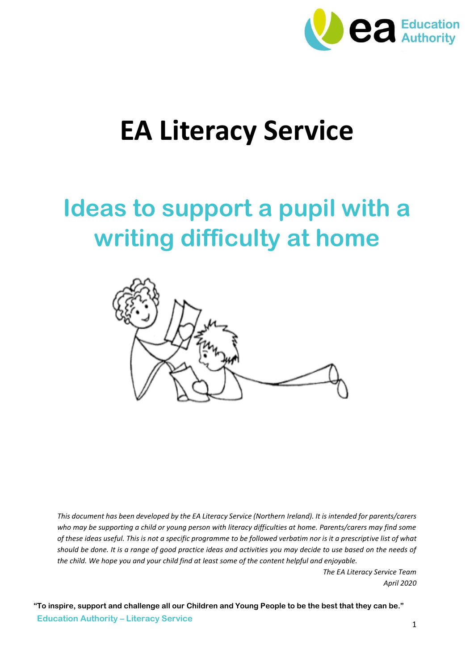

# **EA Literacy Service**

## **Ideas to support a pupil with a writing difficulty at home**



*This document has been developed by the EA Literacy Service (Northern Ireland). It is intended for parents/carers*  who may be supporting a child or young person with literacy difficulties at home. Parents/carers may find some *of these ideas useful. This is not a specific programme to be followed verbatim nor is it a prescriptive list of what should be done. It is a range of good practice ideas and activities you may decide to use based on the needs of the child. We hope you and your child find at least some of the content helpful and enjoyable.*

> *The EA Literacy Service Team April 2020*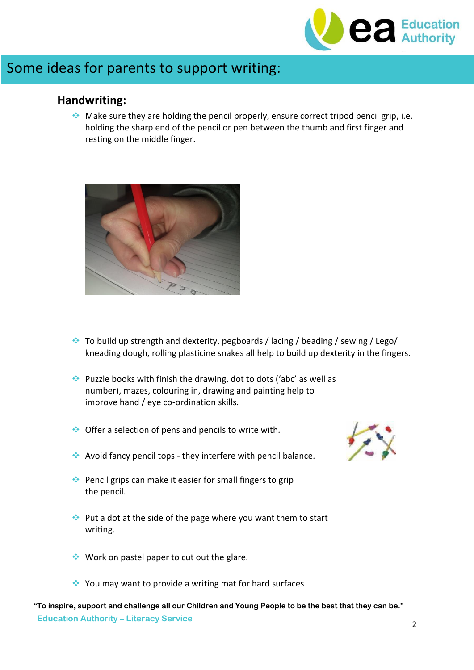

### Some ideas for parents to support writing:

#### **Handwriting:**

 $\cdot$  Make sure they are holding the pencil properly, ensure correct tripod pencil grip, i.e. holding the sharp end of the pencil or pen between the thumb and first finger and resting on the middle finger.



- $\bullet$  To build up strength and dexterity, pegboards / lacing / beading / sewing / Lego/ kneading dough, rolling plasticine snakes all help to build up dexterity in the fingers.
- $\cdot$  Puzzle books with finish the drawing, dot to dots ('abc' as well as number), mazes, colouring in, drawing and painting help to improve hand / eye co-ordination skills.
- $\bullet\bullet$  Offer a selection of pens and pencils to write with.
- Avoid fancy pencil tops they interfere with pencil balance.
- Pencil grips can make it easier for small fingers to grip the pencil.
- $\cdot$  Put a dot at the side of the page where you want them to start writing.
- $\bullet\bullet\text{ Work on pastel paper to cut out the glance.}$
- ◆ You may want to provide a writing mat for hard surfaces

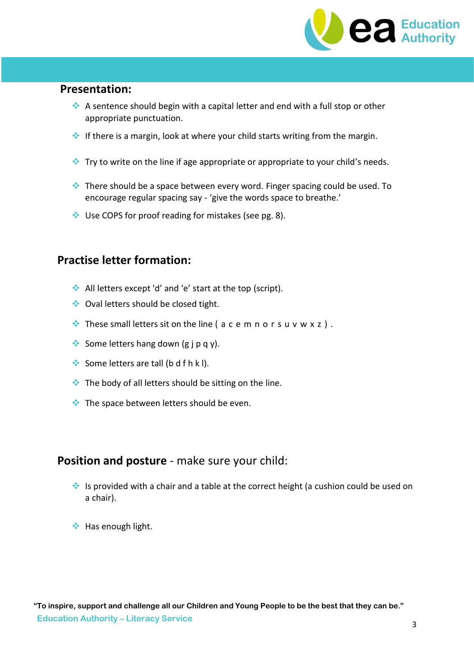

#### **Presentation:**

- A sentence should begin with a capital letter and end with a full stop or other appropriate punctuation.
- If there is a margin, look at where your child starts writing from the margin.
- $\bullet$  Try to write on the line if age appropriate or appropriate to your child's needs.
- There should be a space between every word. Finger spacing could be used. To encourage regular spacing say - 'give the words space to breathe.'
- ◆ Use COPS for proof reading for mistakes (see pg. 8).

#### **Practise letter formation:**

- All letters except 'd' and 'e' start at the top (script).
- ◆ Oval letters should be closed tight.
- $\cdot$  These small letters sit on the line ( a c e m n o r s u v w x z ).
- Some letters hang down  $(g \nvert p q y)$ .
- Some letters are tall (b d f h k l).
- $\bullet\bullet$  The body of all letters should be sitting on the line.
- $\bullet\bullet$  The space between letters should be even.

#### **Position and posture** - make sure your child:

- Is provided with a chair and a table at the correct height (a cushion could be used on a chair).
- Has enough light.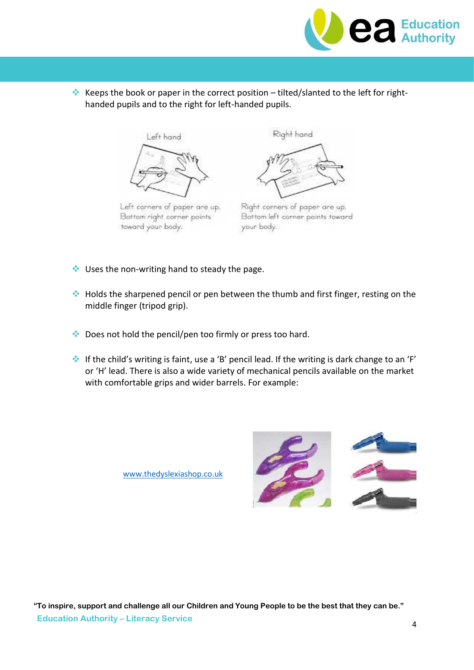

Keeps the book or paper in the correct position – tilted/slanted to the left for righthanded pupils and to the right for left-handed pupils.



Left conners of paper are up. Bottom right corner points toward your body.

Right hand



Right corners of paper are up. Bottom left corner points toward your body.

- $\cdot$  Uses the non-writing hand to steady the page.
- $\triangleq$  Holds the sharpened pencil or pen between the thumb and first finger, resting on the middle finger (tripod grip).
- ◆ Does not hold the pencil/pen too firmly or press too hard.
- If the child's writing is faint, use a 'B' pencil lead. If the writing is dark change to an 'F' or 'H' lead. There is also a wide variety of mechanical pencils available on the market with comfortable grips and wider barrels. For example:

[www.thedyslexiashop.co.uk](http://www.thedyslexiashop.co.uk/)

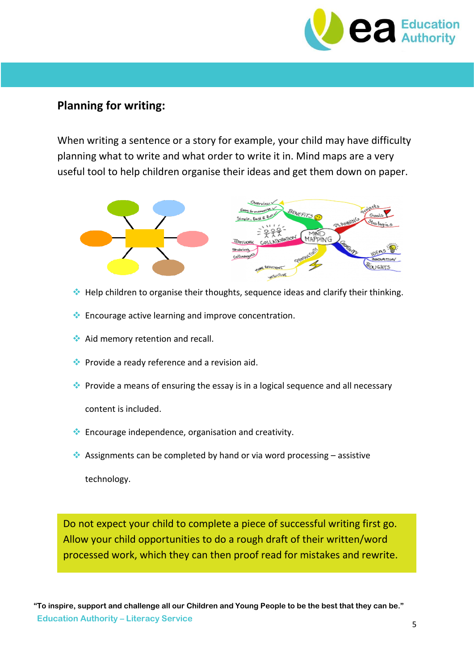

#### **Planning for writing:**

When writing a sentence or a story for example, your child may have difficulty planning what to write and what order to write it in. Mind maps are a very useful tool to help children organise their ideas and get them down on paper.



- $\triangleq$  Help children to organise their thoughts, sequence ideas and clarify their thinking.
- **Encourage active learning and improve concentration.**
- Aid memory retention and recall.
- $\bullet\bullet$  Provide a ready reference and a revision aid.
- Provide a means of ensuring the essay is in a logical sequence and all necessary content is included.
- Encourage independence, organisation and creativity.
- Assignments can be completed by hand or via word processing  $-$  assistive technology.

Do not expect your child to complete a piece of successful writing first go. Allow your child opportunities to do a rough draft of their written/word processed work, which they can then proof read for mistakes and rewrite.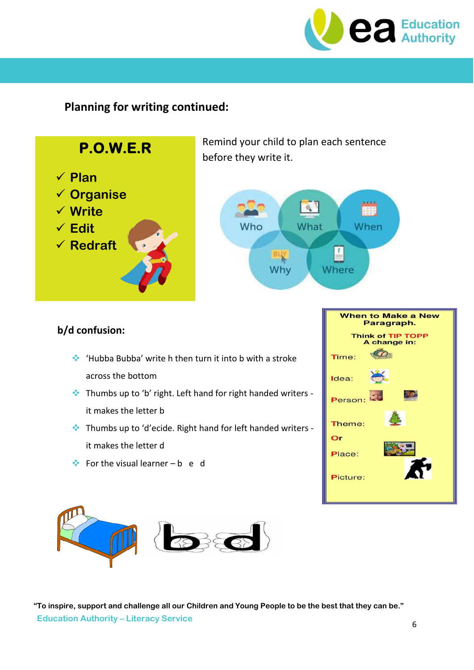

#### **Planning for writing continued:**



- Thumbs up to 'b' right. Left hand for right handed writers it makes the letter b
- Thumbs up to 'd'ecide. Right hand for left handed writers it makes the letter d
- For the visual learner b e d



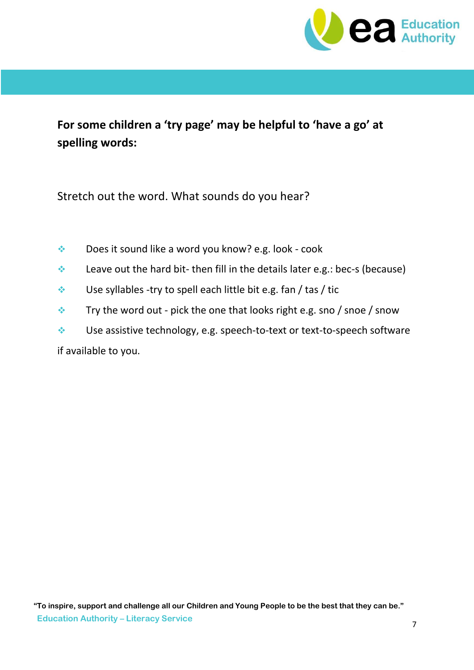

**For some children a 'try page' may be helpful to 'have a go' at spelling words:**

Stretch out the word. What sounds do you hear?

- ◆ Does it sound like a word you know? e.g. look cook
- $\triangle$  Leave out the hard bit- then fill in the details later e.g.: bec-s (because)
- $\triangleq$  Use syllables -try to spell each little bit e.g. fan / tas / tic
- $\cdot$  Try the word out pick the one that looks right e.g. sno / snoe / snow
- Use assistive technology, e.g. speech-to-text or text-to-speech software

if available to you.